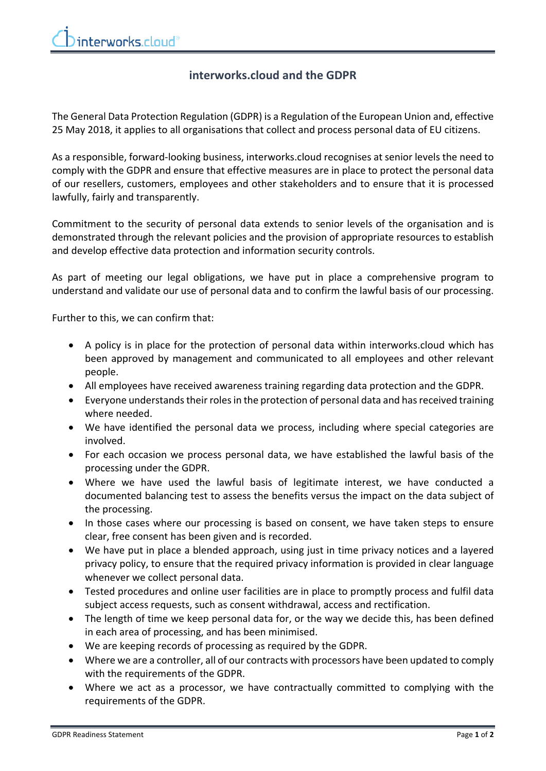## **interworks.cloud and the GDPR**

The General Data Protection Regulation (GDPR) is a Regulation of the European Union and, effective 25 May 2018, it applies to all organisations that collect and process personal data of EU citizens.

As a responsible, forward-looking business, interworks.cloud recognises at senior levels the need to comply with the GDPR and ensure that effective measures are in place to protect the personal data of our resellers, customers, employees and other stakeholders and to ensure that it is processed lawfully, fairly and transparently.

Commitment to the security of personal data extends to senior levels of the organisation and is demonstrated through the relevant policies and the provision of appropriate resources to establish and develop effective data protection and information security controls.

As part of meeting our legal obligations, we have put in place a comprehensive program to understand and validate our use of personal data and to confirm the lawful basis of our processing.

Further to this, we can confirm that:

- A policy is in place for the protection of personal data within interworks.cloud which has been approved by management and communicated to all employees and other relevant people.
- All employees have received awareness training regarding data protection and the GDPR.
- Everyone understands their roles in the protection of personal data and has received training where needed.
- We have identified the personal data we process, including where special categories are involved.
- For each occasion we process personal data, we have established the lawful basis of the processing under the GDPR.
- Where we have used the lawful basis of legitimate interest, we have conducted a documented balancing test to assess the benefits versus the impact on the data subject of the processing.
- In those cases where our processing is based on consent, we have taken steps to ensure clear, free consent has been given and is recorded.
- We have put in place a blended approach, using just in time privacy notices and a layered privacy policy, to ensure that the required privacy information is provided in clear language whenever we collect personal data.
- Tested procedures and online user facilities are in place to promptly process and fulfil data subject access requests, such as consent withdrawal, access and rectification.
- The length of time we keep personal data for, or the way we decide this, has been defined in each area of processing, and has been minimised.
- We are keeping records of processing as required by the GDPR.
- Where we are a controller, all of our contracts with processors have been updated to comply with the requirements of the GDPR.
- Where we act as a processor, we have contractually committed to complying with the requirements of the GDPR.